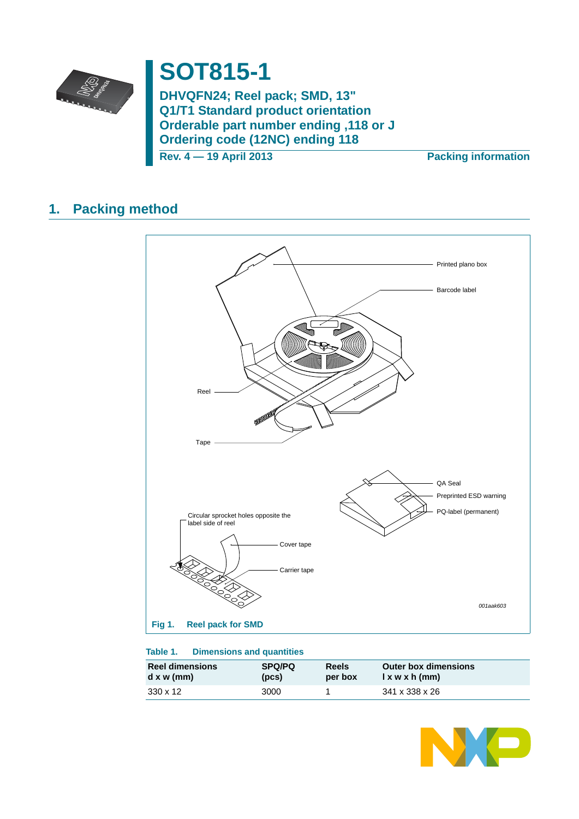

# **SOT815-1**

**DHVQFN24; Reel pack; SMD, 13" Q1/T1 Standard product orientation Orderable part number ending ,118 or J Ordering code (12NC) ending 118**

**Rev. 4 — 19 April 2013 Packing information**

## **1. Packing method**



### **Table 1. Dimensions and quantities**

| <b>Reel dimensions</b> | <b>SPQ/PQ</b> | Reels   | <b>Outer box dimensions</b> |
|------------------------|---------------|---------|-----------------------------|
| $d \times w$ (mm)      | (DCS)         | per box | $l$ x w x h (mm)            |
| 330 x 12               | 3000          |         | 341 x 338 x 26              |

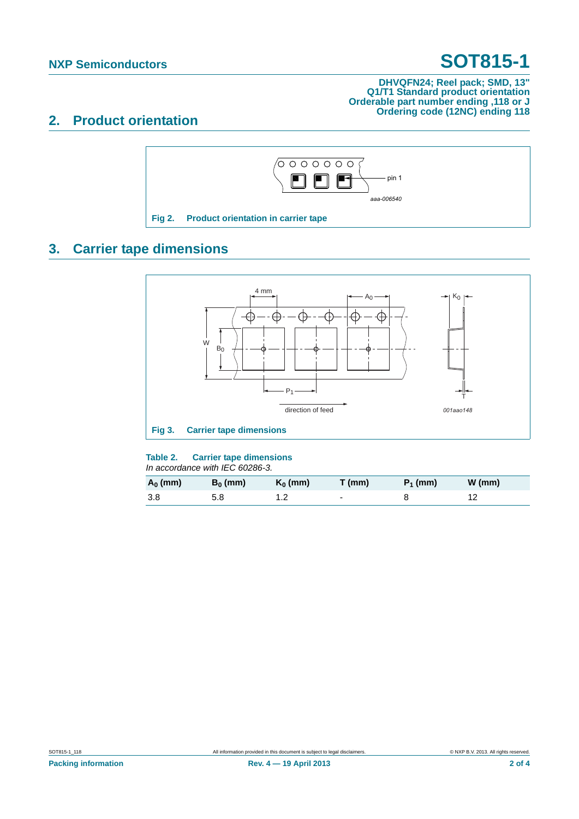# **NXP Semiconductors SOT815-1**

### **DHVQFN24; Reel pack; SMD, 13" Q1/T1 Standard product orientation Orderable part number ending ,118 or J Ordering code (12NC) ending 118**

### **2. Product orientation**



## **3. Carrier tape dimensions**



### **Table 2. Carrier tape dimensions**

*In accordance with IEC 60286-3.*

| $A_0$ (mm) | $B_0$ (mm) | $K_0$ (mm) | T (mm) | $P_1$ (mm) | $W$ (mm) |
|------------|------------|------------|--------|------------|----------|
| -3.8       | 5.8        |            | -      |            |          |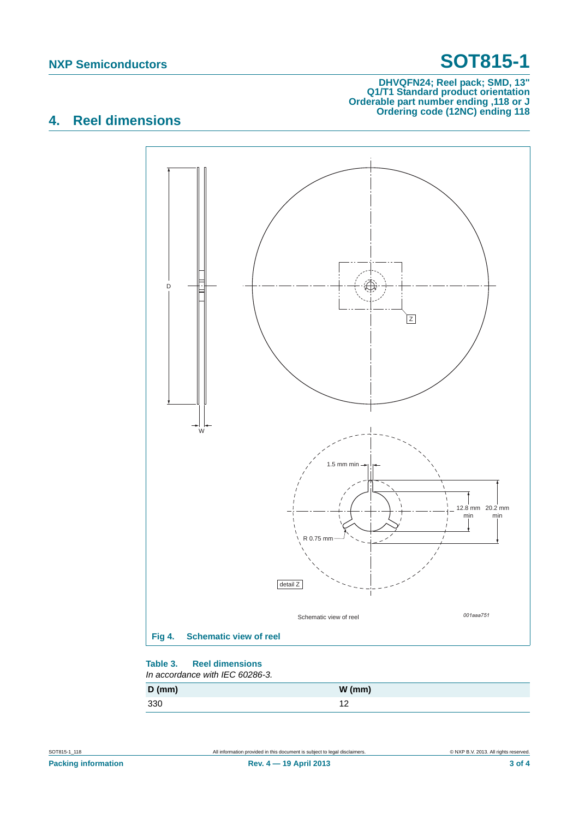# **NXP Semiconductors SOT815-1**

### **DHVQFN24; Reel pack; SMD, 13" Q1/T1 Standard product orientation Orderable part number ending ,118 or J Ordering code (12NC) ending 118**

## **4. Reel dimensions**



#### **Table 3. Reel dimensions** *In accordance with IEC 60286-3.*

| $D$ (mm) | $W$ (mm)       |
|----------|----------------|
| 330      | $\overline{ }$ |